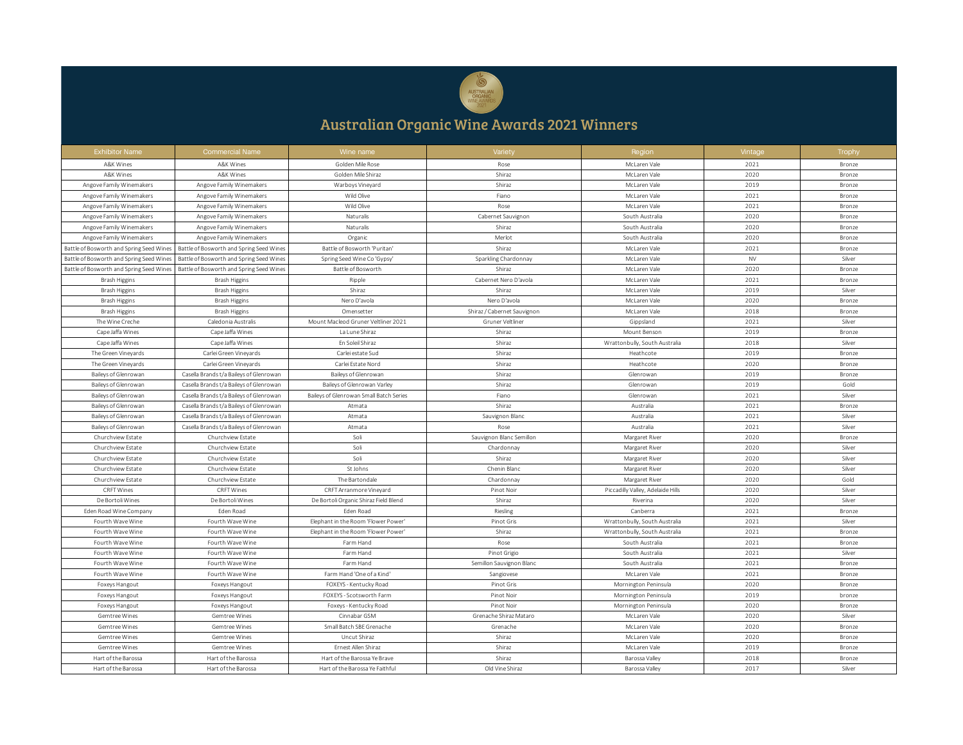

## Australian Organic Wine Awards 2021 Winners

| <b>Exhibitor Name</b>                    | <b>Commercial Name</b>                   | Wine name                               | Variety                     | Region                            | Vintage   | Trophy |
|------------------------------------------|------------------------------------------|-----------------------------------------|-----------------------------|-----------------------------------|-----------|--------|
| A&K Wines                                | A&K Wines                                | Golden Mile Rose                        | Rose                        | McLaren Vale                      | 2021      | Bronze |
| A&K Wines                                | A&K Wines                                | Golden Mile Shiraz                      | Shiraz                      | McLaren Vale                      | 2020      | Bronze |
| Angove Family Winemakers                 | Angove Family Winemakers                 | Warboys Vineyard                        | Shiraz                      | McLaren Vale                      | 2019      | Bronze |
| Angove Family Winemakers                 | Angove Family Winemakers                 | Wild Olive                              | Fiano                       | McLaren Vale                      | 2021      | Bronze |
| Angove Family Winemakers                 | Angove Family Winemakers                 | Wild Olive                              | Rose                        | McLaren Vale                      | 2021      | Bronze |
| Angove Family Winemakers                 | Angove Family Winemakers                 | Naturalis                               | Cabernet Sauvignon          | South Australia                   | 2020      | Bronze |
| Angove Family Winemakers                 | Angove Family Winemakers                 | Naturalis                               | Shiraz                      | South Australia                   | 2020      | Bronze |
| Angove Family Winemakers                 | Angove Family Winemakers                 | Organic                                 | Merlot                      | South Australia                   | 2020      | Bronze |
| Battle of Bosworth and Spring Seed Wines | Battle of Bosworth and Spring Seed Wines | Battle of Bosworth 'Puritan             | Shiraz                      | McLaren Vale                      | 2021      | Bronze |
| Battle of Bosworth and Spring Seed Wines | Battle of Bosworth and Spring Seed Wines | Spring Seed Wine Co 'Gypsy'             | Sparkling Chardonnay        | McLaren Vale                      | <b>NV</b> | Silver |
| Battle of Bosworth and Spring Seed Wines | Battle of Bosworth and Spring Seed Wines | Battle of Bosworth                      | Shiraz                      | McLaren Vale                      | 2020      | Bronze |
| Brash Higgins                            | <b>Brash Higgins</b>                     | Ripple                                  | Cabernet Nero D'avola       | McLaren Vale                      | 2021      | Bronze |
| Brash Higgins                            | Brash Higgins                            | Shiraz                                  | Shiraz                      | McLaren Vale                      | 2019      | Silver |
| <b>Brash Higgins</b>                     | <b>Brash Higgins</b>                     | Nero D'avola                            | Nero D'avola                | McLaren Vale                      | 2020      | Bronze |
| Brash Higgins                            | Brash Higgins                            | Omensetter                              | Shiraz / Cabernet Sauvignon | McLaren Vale                      | 2018      | Bronze |
| The Wine Creche                          | Caledonia Australis                      | Mount Macleod Gruner Veltliner 2021     | Gruner Veltliner            | Gippsland                         | 2021      | Silver |
| Cape Jaffa Wines                         | Cape Jaffa Wines                         | La Lune Shiraz                          | Shiraz                      | Mount Benson                      | 2019      | Bronze |
| Cape Jaffa Wines                         | Cape Jaffa Wines                         | En Soleil Shiraz                        | Shiraz                      | Wrattonbully, South Australia     | 2018      | Silver |
| The Green Vineyards                      | Carlei Green Vineyards                   | Carlei estate Sud                       | Shiraz                      | Heathcote                         | 2019      | Bronze |
| The Green Vineyards                      | Carlei Green Vinevards                   | Carlei Estate Nord                      | Shiraz                      | Heathcote                         | 2020      | Bronze |
| Baileys of Glenrowan                     | Casella Brands t/a Baileys of Glenrowan  | Baileys of Glenrowan                    | Shiraz                      | Glenrowan                         | 2019      | Bronze |
| Baileys of Glenrowan                     | Casella Brands t/a Baileys of Glenrowan  | Baileys of Glenrowan Varley             | Shiraz                      | Glenrowan                         | 2019      | Gold   |
| Baileys of Glenrowan                     | Casella Brands t/a Baileys of Glenrowan  | Baileys of Glenrowan Small Batch Series | Fiano                       | Glenrowan                         | 2021      | Silver |
| Baileys of Glenrowan                     | Casella Brands t/a Baileys of Glenrowan  | Atmata                                  | Shiraz                      | Australia                         | 2021      | Bronze |
| Baileys of Glenrowan                     | Casella Brands t/a Baileys of Glenrowan  | Atmata                                  | Sauvignon Blanc             | Australia                         | 2021      | Silver |
| Baileys of Glenrowan                     | Casella Brands t/a Baileys of Glenrowan  | Atmata                                  | Rose                        | Australia                         | 2021      | Silver |
| Churchview Estate                        | Churchview Estate                        | Soli                                    | Sauvignon Blanc Semillon    | Margaret River                    | 2020      | Bronze |
| Churchview Estate                        | Churchview Estate                        | Soli                                    | Chardonnay                  | Margaret River                    | 2020      | Silver |
| Churchview Estate                        | Churchview Estate                        | Soli                                    | Shiraz                      | Margaret River                    | 2020      | Silver |
| Churchview Estate                        | Churchview Estate                        | St Johns                                | Chenin Blanc                | Margaret River                    | 2020      | Silver |
| Churchview Estate                        | Churchview Estate                        | The Bartondale                          | Chardonnay                  | Margaret River                    | 2020      | Gold   |
| CRFT Wines                               | <b>CRFT Wines</b>                        | CRFT Arranmore Vineyard                 | Pinot Noir                  | Piccadilly Valley, Adelaide Hills | 2020      | Silver |
| De Bortoli Wines                         | De Bortoli Wines                         | De Bortoli Organic Shiraz Field Blend   | Shiraz                      | Riverina                          | 2020      | Silver |
| Eden Road Wine Company                   | Eden Road                                | Eden Road                               | Riesling                    | Canberra                          | 2021      | Bronze |
| Fourth Wave Wine                         | Fourth Wave Wine                         | Elephant in the Room 'Flower Power'     | Pinot Gris                  | Wrattonbully, South Australia     | 2021      | Silver |
| Fourth Wave Wine                         | Fourth Wave Wine                         | Elephant in the Room 'Flower Power'     | Shiraz                      | Wrattonbully, South Australia     | 2021      | Bronze |
| Fourth Wave Wine                         | Fourth Wave Wine                         | Farm Hand                               | Rose                        | South Australia                   | 2021      | Bronze |
| Fourth Wave Wine                         | Fourth Wave Wine                         | Farm Hand                               | Pinot Grigio                | South Australia                   | 2021      | Silver |
| Fourth Wave Wine                         | Fourth Wave Wine                         | Farm Hand                               | Semillon Sauvignon Blanc    | South Australia                   | 2021      | Bronze |
| Fourth Wave Wine                         | Fourth Wave Wine                         | Farm Hand 'One of a Kind'               | Sangiovese                  | McLaren Vale                      | 2021      | Bronze |
| Foxeys Hangout                           | Foxeys Hangout                           | FOXEYS - Kentucky Road                  | Pinot Gris                  | Mornington Peninsula              | 2020      | Bronze |
| Foxeys Hangout                           | Foxeys Hangout                           | FOXEYS - Scotsworth Farm                | Pinot Noir                  | Mornington Peninsula              | 2019      | bronze |
| Foxeys Hangout                           | Foxeys Hangout                           | Foxeys - Kentucky Road                  | Pinot Noir                  | Mornington Peninsula              | 2020      | Bronze |
| Gemtree Wines                            | Gemtree Wines                            | Cinnabar GSM                            | Grenache Shiraz Mataro      | McLaren Vale                      | 2020      | Silver |
| Gemtree Wines                            | Gemtree Wines                            | Small Batch SBE Grenache                | Grenache                    | McLaren Vale                      | 2020      | Bronze |
| Gemtree Wines                            | Gemtree Wines                            | Uncut Shiraz                            | Shiraz                      | McLaren Vale                      | 2020      | Bronze |
| Gemtree Wines                            | Gemtree Wines                            | Ernest Allen Shiraz                     | Shiraz                      | McLaren Vale                      | 2019      | Bronze |
| Hart of the Barossa                      | Hart of the Barossa                      | Hart of the Barossa Ye Brave            | Shiraz                      | Barossa Valley                    | 2018      | Bronze |
| Hart of the Barossa                      | Hart of the Barossa                      | Hart of the Barossa Ye Faithful         | Old Vine Shiraz             | Barossa Valley                    | 2017      | Silver |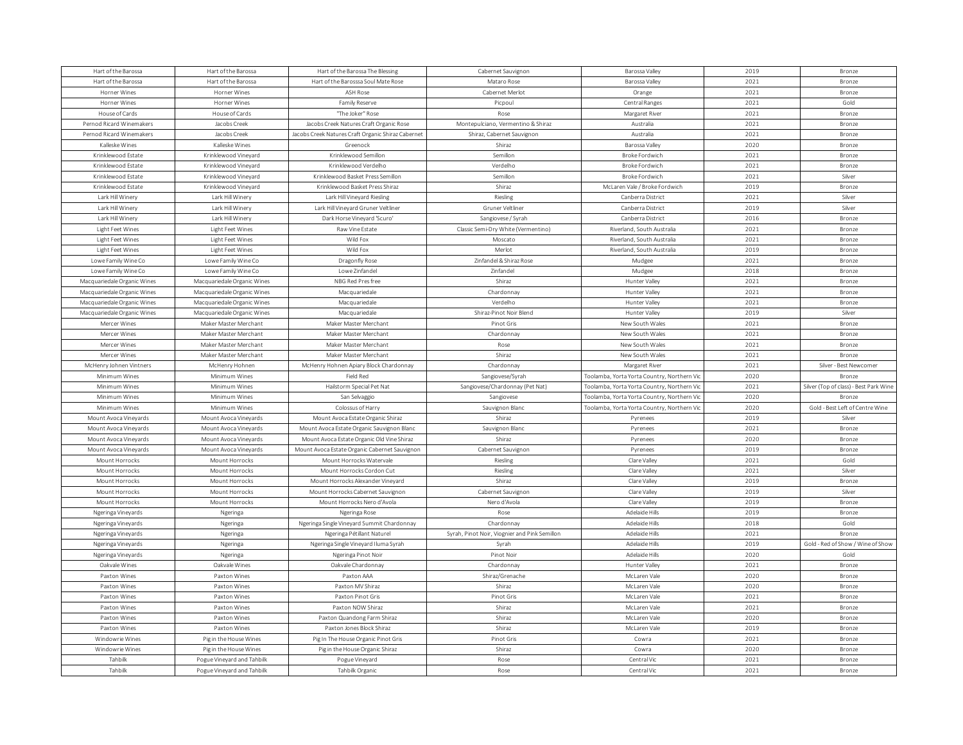| Hart of the Barossa            | Hart of the Barossa            | Hart of the Barossa The Blessing                   | Cabernet Sauvignon                            | Barossa Valley                              | 2019 | Bronze                                 |
|--------------------------------|--------------------------------|----------------------------------------------------|-----------------------------------------------|---------------------------------------------|------|----------------------------------------|
| Hart of the Barossa            | Hart of the Barossa            | Hart of the Barosssa Soul Mate Rose                | Mataro Rose                                   | Barossa Valley                              | 2021 | Bronze                                 |
| Horner Wines                   | Horner Wines                   | <b>ASH Rose</b>                                    | Cabernet Merlot                               | Orange                                      | 2021 | Bronze                                 |
| Horner Wines                   | Horner Wines                   | Family Reserve                                     | Picpoul                                       | Central Ranges                              | 2021 | Gold                                   |
| House of Cards                 | House of Cards                 | "The Joker" Rose                                   | Rose                                          | Margaret River                              | 2021 | Bronze                                 |
| Pernod Ricard Winemakers       | Jacobs Creek                   | Jacobs Creek Natures Craft Organic Rose            | Montepulciano, Vermentino & Shiraz            | Australia                                   | 2021 | Bronze                                 |
| Pernod Ricard Winemakers       | Jacobs Creek                   | Jacobs Creek Natures Craft Organic Shiraz Cabernet | Shiraz, Cabernet Sauvignon                    | Australia                                   | 2021 | Bronze                                 |
| Kalleske Wines                 | Kalleske Wines                 | Greenock                                           | Shiraz                                        | Barossa Valley                              | 2020 | Bronze                                 |
| Krinklewood Estate             | Krinklewood Vinevard           | Krinklewood Semillon                               | Semillon                                      | Broke Fordwich                              | 2021 | Bronze                                 |
| Krinklewood Estate             | Krinklewood Vineyard           | Krinklewood Verdelho                               | Verdelho                                      | Broke Fordwich                              | 2021 | Bronze                                 |
| Krinklewood Estate             | Krinklewood Vineyard           | Krinklewood Basket Press Semillon                  | Semillon                                      | Broke Fordwich                              | 2021 | Silver                                 |
| Krinklewood Estate             | Krinklewood Vineyard           | Krinklewood Basket Press Shiraz                    | Shiraz                                        | McLaren Vale / Broke Fordwich               | 2019 | Bronze                                 |
| Lark Hill Winery               | Lark Hill Winery               | Lark Hill Vineyard Riesling                        | Riesling                                      | Canberra District                           | 2021 | Silver                                 |
| Lark Hill Winery               | Lark Hill Winery               | Lark Hill Vineyard Gruner Veltliner                | Gruner Veltliner                              | Canberra District                           | 2019 | Silver                                 |
| Lark Hill Winery               | Lark Hill Winery               | Dark Horse Vineyard 'Scuro'                        | Sangiovese / Syrah                            | Canberra District                           | 2016 | Bronze                                 |
| Light Feet Wines               | Light Feet Wines               | Raw Vine Estate                                    | Classic Semi-Dry White (Vermentino)           | Riverland, South Australia                  | 2021 | Bronze                                 |
| Light Feet Wines               | Light Feet Wines               | Wild Fox                                           | Moscato                                       | Riverland, South Australia                  | 2021 | <b>Bronze</b>                          |
| Light Feet Wines               | Light Feet Wines               | Wild Fox                                           | Merlot                                        | Riverland, South Australia                  | 2019 | Bronze                                 |
| Lowe Family Wine Co            | Lowe Family Wine Co            | Dragonfly Rose                                     | Zinfandel & Shiraz Rose                       | Mudgee                                      | 2021 | <b>Bronze</b>                          |
| Lowe Family Wine Co            | Lowe Family Wine Co            | Lowe Zinfandel                                     | Zinfandel                                     | Mudgee                                      | 2018 | Bronze                                 |
| Macquariedale Organic Wines    | Macquariedale Organic Wines    | NBG Red Pres free                                  | Shiraz                                        | Hunter Valley                               | 2021 | Bronze                                 |
| Macquariedale Organic Wines    | Macquariedale Organic Wines    | Macquariedale                                      | Chardonnay                                    | Hunter Valley                               | 2021 | Bronze                                 |
| Macquariedale Organic Wines    | Macquariedale Organic Wines    | Macquariedale                                      | Verdelho                                      | Hunter Valley                               | 2021 | Bronze                                 |
| Macquariedale Organic Wines    | Macquariedale Organic Wines    | Macquariedale                                      | Shiraz-Pinot Noir Blend                       | Hunter Valley                               | 2019 | Silver                                 |
| Mercer Wines                   | Maker Master Merchant          | Maker Master Merchant                              | Pinot Gris                                    | New South Wales                             | 2021 | <b>Bronze</b>                          |
| Mercer Wines                   | Maker Master Merchant          | Maker Master Merchant                              | Chardonnay                                    | New South Wales                             | 2021 | Bronze                                 |
|                                | Maker Master Merchant          |                                                    |                                               |                                             | 2021 |                                        |
| Mercer Wines<br>Mercer Wines   | Maker Master Merchant          | Maker Master Merchant<br>Maker Master Merchant     | Rose<br>Shiraz                                | New South Wales<br>New South Wales          | 2021 | Bronze<br>Bronze                       |
| McHenry Johnen Vintners        | McHenry Hohnen                 | McHenry Hohnen Apiary Block Chardonnay             | Chardonnay                                    | Margaret River                              | 2021 | Silver - Best Newcomer                 |
|                                |                                |                                                    |                                               |                                             | 2020 |                                        |
| Minimum Wines<br>Minimum Wines | Minimum Wines<br>Minimum Wines | Field Red                                          | Sangiovese/Syrah                              | Toolamba, Yorta Yorta Country, Northern Vic | 2021 | Bronze                                 |
|                                |                                | Hailstorm Special Pet Nat                          | Sangiovese/Chardonnay (Pet Nat)               | Toolamba, Yorta Yorta Country, Northern Vio |      | Silver (Top of class) - Best Park Wine |
| Minimum Wines                  | Minimum Wines                  | San Selvaggio                                      | Sangiovese                                    | Toolamba, Yorta Yorta Country, Northern Vic | 2020 | Bronze                                 |
| Minimum Wines                  | Minimum Wines                  | Colossus of Harry                                  | Sauvignon Bland                               | Toolamba, Yorta Yorta Country, Northern Vio | 2020 | Gold - Best Left of Centre Wine        |
| Mount Avoca Vineyards          | Mount Avoca Vineyards          | Mount Avoca Estate Organic Shiraz                  | Shiraz                                        | Pyrenees                                    | 2019 | Silver                                 |
| Mount Avoca Vineyards          | Mount Avoca Vineyards          | Mount Avoca Estate Organic Sauvignon Blanc         | Sauvignon Bland                               | Pyrenees                                    | 2021 | Bronze                                 |
| Mount Avoca Vineyards          | Mount Avoca Vineyards          | Mount Avoca Estate Organic Old Vine Shiraz         | Shiraz                                        | Pyrenees                                    | 2020 | Bronze                                 |
| Mount Avoca Vinevards          | Mount Avoca Vinevards          | Mount Avoca Estate Organic Cabernet Sauvignon      | Cabernet Sauvignon                            | Pyrenees                                    | 2019 | Bronze                                 |
| Mount Horrocks                 | Mount Horrocks                 | Mount Horrocks Watervale                           | Riesling                                      | Clare Valley                                | 2021 | Gold                                   |
| Mount Horrocks                 | Mount Horrocks                 | Mount Horrocks Cordon Cut                          | Riesling                                      | Clare Valley                                | 2021 | Silver                                 |
| Mount Horrocks                 | Mount Horrocks                 | Mount Horrocks Alexander Vineyard                  | Shiraz                                        | Clare Valley                                | 2019 | Bronze                                 |
| Mount Horrocks                 | Mount Horrocks                 | Mount Horrocks Cabernet Sauvignon                  | Cabernet Sauvignon                            | Clare Valley                                | 2019 | Silver                                 |
| Mount Horrocks                 | Mount Horrocks                 | Mount Horrocks Nero d'Avola                        | Nero d'Avola                                  | Clare Valley                                | 2019 | Bronze                                 |
| Ngeringa Vineyards             | Ngeringa                       | Ngeringa Rose                                      | Rose                                          | Adelaide Hills                              | 2019 | Bronze                                 |
| Ngeringa Vineyards             | Ngeringa                       | Ngeringa Single Vineyard Summit Chardonnay         | Chardonnay                                    | Adelaide Hills                              | 2018 | Gold                                   |
| Ngeringa Vineyards             | Ngeringa                       | Ngeringa Pétillant Naturel                         | Syrah, Pinot Noir, Viognier and Pink Semillon | Adelaide Hills                              | 2021 | <b>Bronze</b>                          |
| Ngeringa Vineyards             | Ngeringa                       | Ngeringa Single Vineyard Iluma Syrah               | Syrah                                         | Adelaide Hills                              | 2019 | Gold - Red of Show / Wine of Show      |
| Ngeringa Vineyards             | Ngeringa                       | Ngeringa Pinot Noir                                | Pinot Noir                                    | Adelaide Hills                              | 2020 | Gold                                   |
| Oakvale Wines                  | Oakvale Wines                  | Oakvale Chardonnay                                 | Chardonnay                                    | Hunter Valley                               | 2021 | Bronze                                 |
| Paxton Wines                   | Paxton Wines                   | Paxton AAA                                         | Shiraz/Grenache                               | McLaren Vale                                | 2020 | Bronze                                 |
| Paxton Wines                   | Paxton Wines                   | Paxton MV Shiraz                                   | Shiraz                                        | McLaren Vale                                | 2020 | Bronze                                 |
| Paxton Wines                   | Paxton Wines                   | Paxton Pinot Gris                                  | Pinot Gris                                    | McLaren Vale                                | 2021 | Bronze                                 |
| Paxton Wines                   | Paxton Wines                   | Paxton NOW Shiraz                                  | Shiraz                                        | McLaren Vale                                | 2021 | <b>Bronze</b>                          |
| Paxton Wines                   | Paxton Wines                   | Paxton Quandong Farm Shiraz                        | Shiraz                                        | McLaren Vale                                | 2020 | <b>Bronze</b>                          |
| Paxton Wines                   | Paxton Wines                   | Paxton Jones Block Shiraz                          | Shiraz                                        | McLaren Vale                                | 2019 | Bronze                                 |
| Windowrie Wines                | Pig in the House Wines         | Pig In The House Organic Pinot Gris                | Pinot Gris                                    | Cowra                                       | 2021 | Bronze                                 |
| Windowrie Wines                | Pig in the House Wines         |                                                    | Shiraz                                        | Cowra                                       | 2020 | Bronze                                 |
|                                |                                | Pig in the House Organic Shiraz                    |                                               |                                             |      |                                        |
| Tahbilk                        | Pogue Vineyard and Tahbilk     | Pogue Vineyard                                     | Rose                                          | Central Vio                                 | 2021 | Bronze                                 |